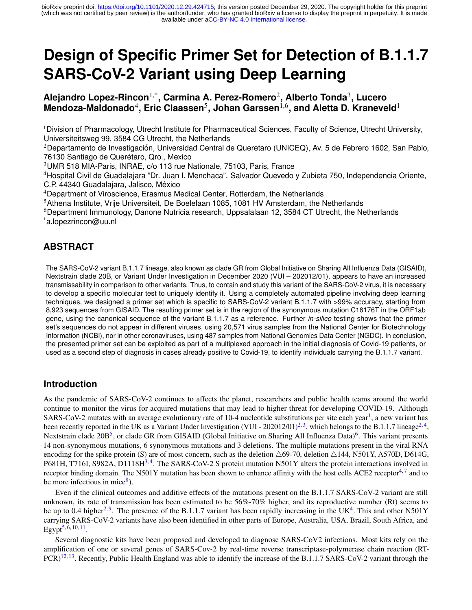# **Design of Specific Primer Set for Detection of B.1.1.7 SARS-CoV-2 Variant using Deep Learning**

## **Alejandro Lopez-Rincon**1,\***, Carmina A. Perez-Romero**<sup>2</sup> **, Alberto Tonda**<sup>3</sup> **, Lucero**  $M$ endoza-Maldonado<sup>4</sup>, Eric Claassen<sup>5</sup>, Johan Garssen<sup>1,6</sup>, and Aletta D. Kraneveld<sup>1</sup>

<sup>1</sup>Division of Pharmacology, Utrecht Institute for Pharmaceutical Sciences, Faculty of Science, Utrecht University, Universiteitsweg 99, 3584 CG Utrecht, the Netherlands

<sup>2</sup>Departamento de Investigación, Universidad Central de Queretaro (UNICEQ), Av. 5 de Febrero 1602, San Pablo, 76130 Santiago de Querétaro, Qro., Mexico

<sup>3</sup>UMR 518 MIA-Paris, INRAE, c/o 113 rue Nationale, 75103, Paris, France

<sup>4</sup>Hospital Civil de Guadalajara "Dr. Juan I. Menchaca". Salvador Quevedo y Zubieta 750, Independencia Oriente, C.P. 44340 Guadalajara, Jalisco, México

<sup>4</sup>Department of Viroscience, Erasmus Medical Center, Rotterdam, the Netherlands

<sup>5</sup>Athena Institute, Vrije Universiteit, De Boelelaan 1085, 1081 HV Amsterdam, the Netherlands

 $6$ Department Immunology, Danone Nutricia research, Uppsalalaan 12, 3584 CT Utrecht, the Netherlands \*a.lopezrincon@uu.nl

## **ABSTRACT**

The SARS-CoV-2 variant B.1.1.7 lineage, also known as clade GR from Global Initiative on Sharing All Influenza Data (GISAID), Nextstrain clade 20B, or Variant Under Investigation in December 2020 (VUI – 202012/01), appears to have an increased transmissability in comparison to other variants. Thus, to contain and study this variant of the SARS-CoV-2 virus, it is necessary to develop a specific molecular test to uniquely identify it. Using a completely automated pipeline involving deep learning techniques, we designed a primer set which is specific to SARS-CoV-2 variant B.1.1.7 with >99% accuracy, starting from 8,923 sequences from GISAID. The resulting primer set is in the region of the synonymous mutation C16176T in the ORF1ab gene, using the canonical sequence of the variant B.1.1.7 as a reference. Further *in-silico* testing shows that the primer set's sequences do not appear in different viruses, using 20,571 virus samples from the National Center for Biotechnology Information (NCBI), nor in other coronaviruses, using 487 samples from National Genomics Data Center (NGDC). In conclusion, the presented primer set can be exploited as part of a multiplexed approach in the initial diagnosis of Covid-19 patients, or used as a second step of diagnosis in cases already positive to Covid-19, to identify individuals carrying the B.1.1.7 variant.

#### **Introduction**

As the pandemic of SARS-CoV-2 continues to affects the planet, researchers and public health teams around the world continue to monitor the virus for acquired mutations that may lead to higher threat for developing COVID-19. Although SARS-CoV-2 mutates with an average evolutionary rate of [1](#page-6-0)0-4 nucleotide substitutions per site each year<sup>1</sup>, a new variant has been recently reported in the UK as a Variant Under Investigation (VUI - 202012/01)<sup>[2,](#page-6-1)[3](#page-6-2)</sup>, which belongs to the B.1.1.7 lineage<sup>2,[4](#page-6-3)</sup>, Nextstrain clade 20B<sup>[5](#page-6-4)</sup>, or clade GR from GISAID (Global Initiative on Sharing All Influenza Data)<sup>[6](#page-6-5)</sup>. This variant presents 14 non-synonymous mutations, 6 synonymous mutations and 3 deletions. The multiple mutations present in the viral RNA encoding for the spike protein (S) are of most concern, such as the deletion  $\triangle 69-70$ , deletion  $\triangle 144$ , N501Y, A570D, D614G, P681H, T716I, S982A, D1118H<sup>[3,](#page-6-2)[4](#page-6-3)</sup>. The SARS-CoV-2 S protein mutation N501Y alters the protein interactions involved in receptor binding domain. The N501Y mutation has been shown to enhance affinity with the host cells ACE2 receptor<sup>[4,](#page-6-3)[7](#page-6-6)</sup> and to be more infectious in mice<sup>[8](#page-6-7)</sup>).

Even if the clinical outcomes and additive effects of the mutations present on the B.1.1.7 SARS-CoV-2 variant are still unknown, its rate of transmission has been estimated to be 56%-70% higher, and its reproductive number (Rt) seems to be up to 0.4 higher<sup>[2,](#page-6-1)[9](#page-6-8)</sup>. The presence of the B.1.1.7 variant has been rapidly increasing in the UK<sup>[4](#page-6-3)</sup>. This and other N501Y carrying SARS-CoV-2 variants have also been identified in other parts of Europe, Australia, USA, Brazil, South Africa, and Egypt $^{5,6,10,11}.$  $^{5,6,10,11}.$  $^{5,6,10,11}.$  $^{5,6,10,11}.$  $^{5,6,10,11}.$  $^{5,6,10,11}.$ 

Several diagnostic kits have been proposed and developed to diagnose SARS-CoV2 infections. Most kits rely on the amplification of one or several genes of SARS-Cov-2 by real-time reverse transcriptase-polymerase chain reaction (RT- $PCR<sup>12,13</sup>$  $PCR<sup>12,13</sup>$  $PCR<sup>12,13</sup>$  $PCR<sup>12,13</sup>$ . Recently, Public Health England was able to identify the increase of the B.1.1.7 SARS-CoV-2 variant through the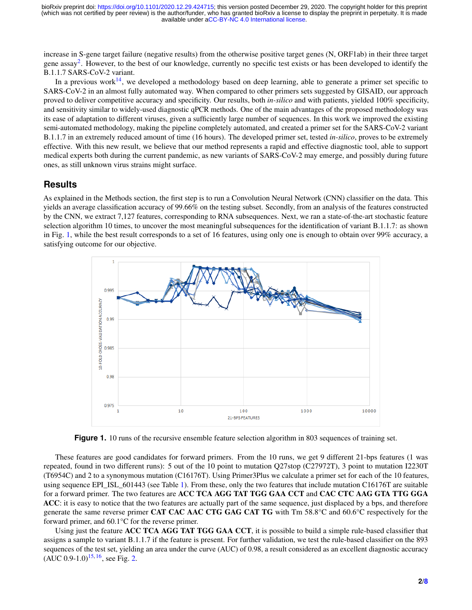increase in S-gene target failure (negative results) from the otherwise positive target genes (N, ORF1ab) in their three target gene assay<sup>[2](#page-6-1)</sup>. However, to the best of our knowledge, currently no specific test exists or has been developed to identify the B.1.1.7 SARS-CoV-2 variant.

In a previous work<sup>[14](#page-6-13)</sup>, we developed a methodology based on deep learning, able to generate a primer set specific to SARS-CoV-2 in an almost fully automated way. When compared to other primers sets suggested by GISAID, our approach proved to deliver competitive accuracy and specificity. Our results, both *in-silico* and with patients, yielded 100% specificity, and sensitivity similar to widely-used diagnostic qPCR methods. One of the main advantages of the proposed methodology was its ease of adaptation to different viruses, given a sufficiently large number of sequences. In this work we improved the existing semi-automated methodology, making the pipeline completely automated, and created a primer set for the SARS-CoV-2 variant B.1.1.7 in an extremely reduced amount of time (16 hours). The developed primer set, tested *in-silico*, proves to be extremely effective. With this new result, we believe that our method represents a rapid and effective diagnostic tool, able to support medical experts both during the current pandemic, as new variants of SARS-CoV-2 may emerge, and possibly during future ones, as still unknown virus strains might surface.

#### **Results**

As explained in the Methods section, the first step is to run a Convolution Neural Network (CNN) classifier on the data. This yields an average classification accuracy of 99.66% on the testing subset. Secondly, from an analysis of the features constructed by the CNN, we extract 7,127 features, corresponding to RNA subsequences. Next, we ran a state-of-the-art stochastic feature selection algorithm 10 times, to uncover the most meaningful subsequences for the identification of variant B.1.1.7: as shown in Fig. [1,](#page-1-0) while the best result corresponds to a set of 16 features, using only one is enough to obtain over 99% accuracy, a satisfying outcome for our objective.

<span id="page-1-0"></span>

Figure 1. 10 runs of the recursive ensemble feature selection algorithm in 803 sequences of training set.

These features are good candidates for forward primers. From the 10 runs, we get 9 different 21-bps features (1 was repeated, found in two different runs): 5 out of the 10 point to mutation Q27stop (C27972T), 3 point to mutation I2230T (T6954C) and 2 to a synonymous mutation (C16176T). Using Primer3Plus we calculate a primer set for each of the 10 features, using sequence EPI\_ISL\_601443 (see Table [1\)](#page-2-0). From these, only the two features that include mutation C16176T are suitable for a forward primer. The two features are ACC TCA AGG TAT TGG GAA CCT and CAC CTC AAG GTA TTG GGA ACC: it is easy to notice that the two features are actually part of the same sequence, just displaced by a bps, and therefore generate the same reverse primer CAT CAC AAC CTG GAG CAT TG with Tm 58.8°C and 60.6°C respectively for the forward primer, and 60.1°C for the reverse primer.

Using just the feature ACC TCA AGG TAT TGG GAA CCT, it is possible to build a simple rule-based classifier that assigns a sample to variant B.1.1.7 if the feature is present. For further validation, we test the rule-based classifier on the 893 sequences of the test set, yielding an area under the curve (AUC) of 0.98, a result considered as an excellent diagnostic accuracy  $(AUC 0.9-1.0)^{15, 16}$  $(AUC 0.9-1.0)^{15, 16}$  $(AUC 0.9-1.0)^{15, 16}$  $(AUC 0.9-1.0)^{15, 16}$  $(AUC 0.9-1.0)^{15, 16}$ , see Fig. [2.](#page-2-1)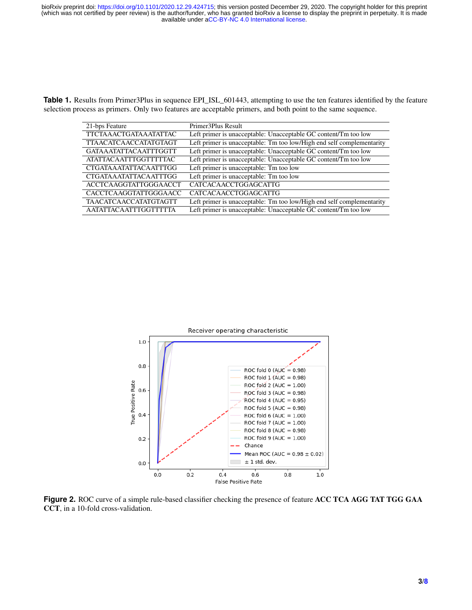<span id="page-2-0"></span>**Table 1.** Results from Primer3Plus in sequence EPI\_ISL\_601443, attempting to use the ten features identified by the feature selection process as primers. Only two features are acceptable primers, and both point to the same sequence.

| 21-bps Feature                | Primer3Plus Result                                                    |
|-------------------------------|-----------------------------------------------------------------------|
| <b>TTCTAAACTGATAAATATTAC</b>  | Left primer is unacceptable: Unacceptable GC content/Tm too low       |
| <b>TTAACATCAACCATATGTAGT</b>  | Left primer is unacceptable: Tm too low/High end self complementarity |
| <b>GATAAATATTACAATTTGGTT</b>  | Left primer is unacceptable: Unacceptable GC content/Tm too low       |
| <b>ATATTACA ATTTGGTTTTTAC</b> | Left primer is unacceptable: Unacceptable GC content/Tm too low       |
| <b>CTGATAAATATTACAATTTGG</b>  | Left primer is unacceptable: Tm too low                               |
| <b>CTGATAAATATTACAATTTGG</b>  | Left primer is unacceptable: Tm too low                               |
| <b>ACCTCAAGGTATTGGGAACCT</b>  | <b>CATCACAACCTGGAGCATTG</b>                                           |
| CACCTCAAGGTATTGGGAACC         | <b>CATCACAACCTGGAGCATTG</b>                                           |
| <b>TAACATCAACCATATGTAGTT</b>  | Left primer is unacceptable: Tm too low/High end self complementarity |
| <b>AATATTACAATTTGGTTTTTA</b>  | Left primer is unacceptable: Unacceptable GC content/Tm too low       |

<span id="page-2-1"></span>

**Figure 2.** ROC curve of a simple rule-based classifier checking the presence of feature ACC TCA AGG TAT TGG GAA CCT, in a 10-fold cross-validation.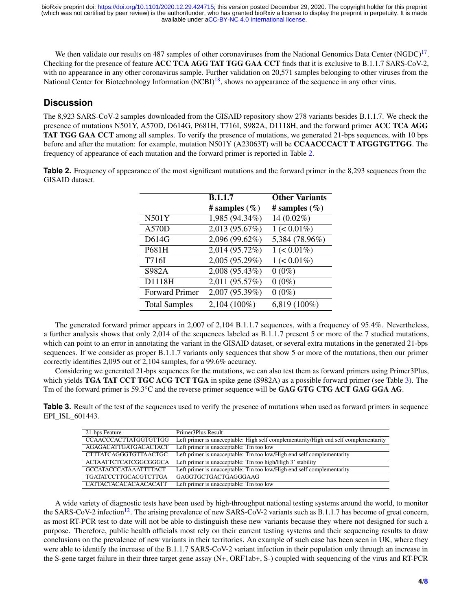We then validate our results on 487 samples of other coronaviruses from the National Genomics Data Center  $(NGDC)^{17}$  $(NGDC)^{17}$  $(NGDC)^{17}$ . Checking for the presence of feature ACC TCA AGG TAT TGG GAA CCT finds that it is exclusive to B.1.1.7 SARS-CoV-2, with no appearance in any other coronavirus sample. Further validation on 20,571 samples belonging to other viruses from the National Center for Biotechnology Information  $(NCBI)^{18}$  $(NCBI)^{18}$  $(NCBI)^{18}$ , shows no appearance of the sequence in any other virus.

## **Discussion**

The 8,923 SARS-CoV-2 samples downloaded from the GISAID repository show 278 variants besides B.1.1.7. We check the presence of mutations N501Y, A570D, D614G, P681H, T716I, S982A, D1118H, and the forward primer ACC TCA AGG TAT TGG GAA CCT among all samples. To verify the presence of mutations, we generated 21-bps sequences, with 10 bps before and after the mutation: for example, mutation N501Y (A23063T) will be CCAACCCACT T ATGGTGTTGG. The frequency of appearance of each mutation and the forward primer is reported in Table [2.](#page-3-0)

<span id="page-3-0"></span>**Table 2.** Frequency of appearance of the most significant mutations and the forward primer in the 8,293 sequences from the GISAID dataset.

|                       | <b>B.1.1.7</b>   | <b>Other Variants</b> |
|-----------------------|------------------|-----------------------|
|                       | # samples $(\%)$ | # samples $(\%)$      |
| N501Y                 | 1,985 (94.34%)   | 14 (0.02%)            |
| <b>A570D</b>          | 2,013 (95.67%)   | $1 (< 0.01\%)$        |
| D614G                 | 2,096 (99.62%)   | 5,384 (78.96%)        |
| P681H                 | 2,014 (95.72%)   | $1 (< 0.01\%)$        |
| T716I                 | 2,005 (95.29%)   | $1 (< 0.01\%)$        |
| S982A                 | 2,008 (95.43%)   | $0(0\%)$              |
| D1118H                | 2,011 (95.57%)   | $0(0\%)$              |
| <b>Forward Primer</b> | 2,007 (95.39%)   | $0(0\%)$              |
| <b>Total Samples</b>  | 2,104 (100%)     | $6,819(100\%)$        |

The generated forward primer appears in 2,007 of 2,104 B.1.1.7 sequences, with a frequency of 95.4%. Nevertheless, a further analysis shows that only 2,014 of the sequences labeled as B.1.1.7 present 5 or more of the 7 studied mutations, which can point to an error in annotating the variant in the GISAID dataset, or several extra mutations in the generated 21-bps sequences. If we consider as proper B.1.1.7 variants only sequences that show 5 or more of the mutations, then our primer correctly identifies 2,095 out of 2,104 samples, for a 99.6% accuracy.

Considering we generated 21-bps sequences for the mutations, we can also test them as forward primers using Primer3Plus, which yields **TGA TAT CCT TGC ACG TCT TGA** in spike gene (S982A) as a possible forward primer (see Table [3\)](#page-3-1). The Tm of the forward primer is 59.3°C and the reverse primer sequence will be GAG GTG CTG ACT GAG GGA AG.

<span id="page-3-1"></span>**Table 3.** Result of the test of the sequences used to verify the presence of mutations when used as forward primers in sequence EPI\_ISL\_601443.

| 21-bps Feature               | Primer3Plus Result                                                                   |
|------------------------------|--------------------------------------------------------------------------------------|
| <b>CCAACCCACTTATGGTGTTGG</b> | Left primer is unacceptable: High self complementarity/High end self complementarity |
| AGAGACATTGATGACACTACT        | Left primer is unacceptable: Tm too low                                              |
| CTTTATCAGGGTGTTAACTGC        | Left primer is unacceptable: Tm too low/High end self complementarity                |
| <b>ACTAATTCTCATCGGCGGGCA</b> | Left primer is unacceptable: Tm too high/High 3' stability                           |
| <b>GCCATACCCATAAATTTTACT</b> | Left primer is unacceptable: Tm too low/High end self complementarity                |
| <b>TGATATCCTTGCACGTCTTGA</b> | GAGGTGCTGACTGAGGGAAG                                                                 |
| <b>CATTACTACACACAACACATT</b> | Left primer is unacceptable: Tm too low                                              |

A wide variety of diagnostic tests have been used by high-throughput national testing systems around the world, to monitor the SARS-CoV-2 infection<sup>[12](#page-6-11)</sup>. The arising prevalence of new SARS-CoV-2 variants such as B.1.1.7 has become of great concern, as most RT-PCR test to date will not be able to distinguish these new variants because they where not designed for such a purpose. Therefore, public health officials most rely on their current testing systems and their sequencing results to draw conclusions on the prevalence of new variants in their territories. An example of such case has been seen in UK, where they were able to identify the increase of the B.1.1.7 SARS-CoV-2 variant infection in their population only through an increase in the S-gene target failure in their three target gene assay (N+, ORF1ab+, S-) coupled with sequencing of the virus and RT-PCR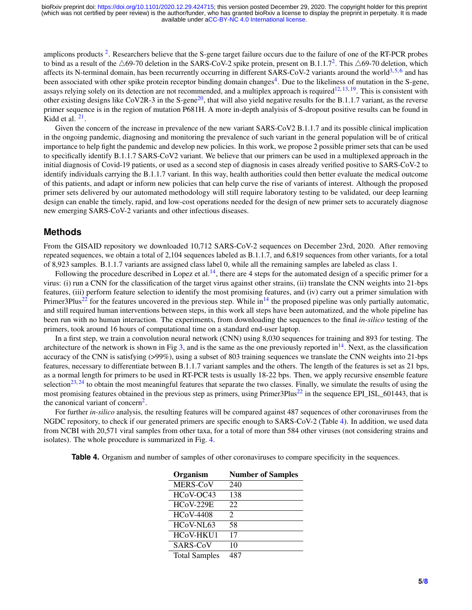amplicons products<sup>[2](#page-6-1)</sup>. Researchers believe that the S-gene target failure occurs due to the failure of one of the RT-PCR probes to bind as a result of the  $\triangle 69$ -70 deletion in the SARS-CoV-[2](#page-6-1) spike protein, present on B.1.1.7<sup>2</sup>. This  $\triangle 69$ -70 deletion, which affects its N-terminal domain, has been recurrently occurring in different SARS-CoV-2 variants around the world<sup>[3,](#page-6-2)[5,](#page-6-4)[6](#page-6-5)</sup> and has been associated with other spike protein receptor binding domain changes<sup>[4](#page-6-3)</sup>. Due to the likeliness of mutation in the S-gene, assays relying solely on its detection are not recommended, and a multiplex approach is required<sup>[12,](#page-6-11) [13,](#page-6-12) [19](#page-7-5)</sup>. This is consistent with other existing designs like CoV2R-3 in the S-gene<sup>[20](#page-7-6)</sup>, that will also yield negative results for the B.1.1.7 variant, as the reverse primer sequence is in the region of mutation P681H. A more in-depth analyisis of S-dropout positive results can be found in Kidd et al.  $21$ .

Given the concern of the increase in prevalence of the new variant SARS-CoV2 B.1.1.7 and its possible clinical implication in the ongoing pandemic, diagnosing and monitoring the prevalence of such variant in the general population will be of critical importance to help fight the pandemic and develop new policies. In this work, we propose 2 possible primer sets that can be used to specifically identify B.1.1.7 SARS-CoV2 variant. We believe that our primers can be used in a multiplexed approach in the initial diagnosis of Covid-19 patients, or used as a second step of diagnosis in cases already verified positive to SARS-CoV-2 to identify individuals carrying the B.1.1.7 variant. In this way, health authorities could then better evaluate the medical outcome of this patients, and adapt or inform new policies that can help curve the rise of variants of interest. Although the proposed primer sets delivered by our automated methodology will still require laboratory testing to be validated, our deep learning design can enable the timely, rapid, and low-cost operations needed for the design of new primer sets to accurately diagnose new emerging SARS-CoV-2 variants and other infectious diseases.

#### **Methods**

From the GISAID repository we downloaded 10,712 SARS-CoV-2 sequences on December 23rd, 2020. After removing repeated sequences, we obtain a total of 2,104 sequences labeled as B.1.1.7, and 6,819 sequences from other variants, for a total of 8,923 samples. B.1.1.7 variants are assigned class label 0, while all the remaining samples are labeled as class 1.

Following the procedure described in Lopez et al.<sup>[14](#page-6-13)</sup>, there are 4 steps for the automated design of a specific primer for a virus: (i) run a CNN for the classification of the target virus against other strains, (ii) translate the CNN weights into 21-bps features, (iii) perform feature selection to identify the most promising features, and (iv) carry out a primer simulation with Primer3Plus<sup>[22](#page-7-8)</sup> for the features uncovered in the previous step. While in<sup>[14](#page-6-13)</sup> the proposed pipeline was only partially automatic, and still required human interventions between steps, in this work all steps have been automatized, and the whole pipeline has been run with no human interaction. The experiments, from downloading the sequences to the final *in-silico* testing of the primers, took around 16 hours of computational time on a standard end-user laptop.

In a first step, we train a convolution neural network (CNN) using 8,030 sequences for training and 893 for testing. The architecture of the network is shown in Fig [3,](#page-5-0) and is the same as the one previously reported in  $14$ . Next, as the classification accuracy of the CNN is satisfying (>99%), using a subset of 803 training sequences we translate the CNN weights into 21-bps features, necessary to differentiate between B.1.1.7 variant samples and the others. The length of the features is set as 21 bps, as a normal length for primers to be used in RT-PCR tests is usually 18-22 bps. Then, we apply recursive ensemble feature selection<sup>[23,](#page-7-9) [24](#page-7-10)</sup> to obtain the most meaningful features that separate the two classes. Finally, we simulate the results of using the most promising features obtained in the previous step as primers, using Primer $3$ Plus<sup>[22](#page-7-8)</sup> in the sequence EPI\_ISL\_601443, that is the canonical variant of concern<sup>[2](#page-6-1)</sup>.

For further *in-silico* analysis, the resulting features will be compared against 487 sequences of other coronaviruses from the NGDC repository, to check if our generated primers are specific enough to SARS-CoV-2 (Table [4\)](#page-4-0). In addition, we used data from NCBI with 20,571 viral samples from other taxa, for a total of more than 584 other viruses (not considering strains and isolates). The whole procedure is summarized in Fig. [4.](#page-6-14)

<span id="page-4-0"></span>**Table 4.** Organism and number of samples of other coronaviruses to compare specificity in the sequences.

| Organism             | <b>Number of Samples</b> |
|----------------------|--------------------------|
| MERS-CoV             | 240                      |
| HCoV-OC43            | 138                      |
| <b>HCoV-229E</b>     | 22                       |
| <b>HCoV-4408</b>     | 2                        |
| HCoV-NL63            | 58                       |
| HCoV-HKU1            | 17                       |
| SARS-CoV             | 10                       |
| <b>Total Samples</b> |                          |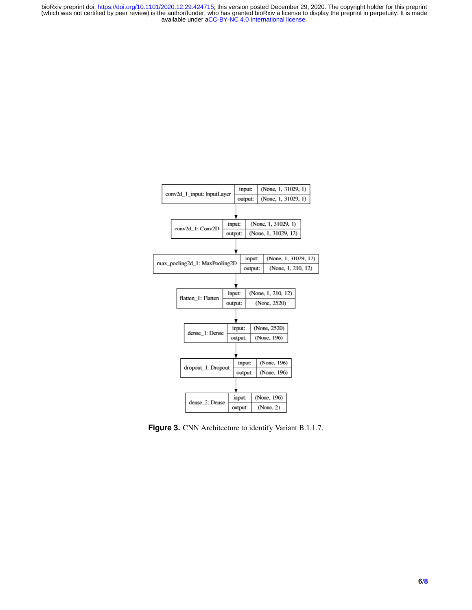<span id="page-5-0"></span>

Figure 3. CNN Architecture to identify Variant B.1.1.7.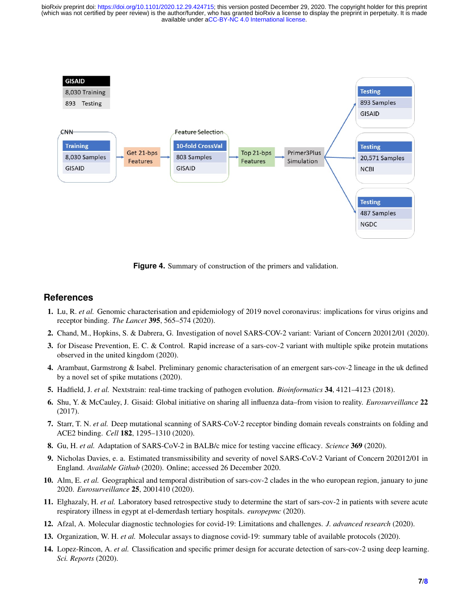<span id="page-6-14"></span>

**Figure 4.** Summary of construction of the primers and validation.

## **References**

- <span id="page-6-0"></span>1. Lu, R. *et al.* Genomic characterisation and epidemiology of 2019 novel coronavirus: implications for virus origins and receptor binding. *The Lancet* 395, 565–574 (2020).
- <span id="page-6-1"></span>2. Chand, M., Hopkins, S. & Dabrera, G. Investigation of novel SARS-COV-2 variant: Variant of Concern 202012/01 (2020).
- <span id="page-6-2"></span>3. for Disease Prevention, E. C. & Control. Rapid increase of a sars-cov-2 variant with multiple spike protein mutations observed in the united kingdom (2020).
- <span id="page-6-3"></span>4. Arambaut, Garmstrong & Isabel. Preliminary genomic characterisation of an emergent sars-cov-2 lineage in the uk defined by a novel set of spike mutations (2020).
- <span id="page-6-4"></span>5. Hadfield, J. *et al.* Nextstrain: real-time tracking of pathogen evolution. *Bioinformatics* 34, 4121–4123 (2018).
- <span id="page-6-5"></span>6. Shu, Y. & McCauley, J. Gisaid: Global initiative on sharing all influenza data–from vision to reality. *Eurosurveillance* 22 (2017).
- <span id="page-6-6"></span>7. Starr, T. N. *et al.* Deep mutational scanning of SARS-CoV-2 receptor binding domain reveals constraints on folding and ACE2 binding. *Cell* 182, 1295–1310 (2020).
- <span id="page-6-7"></span>8. Gu, H. *et al.* Adaptation of SARS-CoV-2 in BALB/c mice for testing vaccine efficacy. *Science* 369 (2020).
- <span id="page-6-8"></span>9. Nicholas Davies, e. a. Estimated transmissibility and severity of novel SARS-CoV-2 Variant of Concern 202012/01 in England. *Available Github* (2020). Online; accessed 26 December 2020.
- <span id="page-6-9"></span>10. Alm, E. *et al.* Geographical and temporal distribution of sars-cov-2 clades in the who european region, january to june 2020. *Eurosurveillance* 25, 2001410 (2020).
- <span id="page-6-10"></span>11. Elghazaly, H. *et al.* Laboratory based retrospective study to determine the start of sars-cov-2 in patients with severe acute respiratory illness in egypt at el-demerdash tertiary hospitals. *europepmc* (2020).
- <span id="page-6-11"></span>12. Afzal, A. Molecular diagnostic technologies for covid-19: Limitations and challenges. *J. advanced research* (2020).
- <span id="page-6-12"></span>13. Organization, W. H. *et al.* Molecular assays to diagnose covid-19: summary table of available protocols (2020).
- <span id="page-6-13"></span>14. Lopez-Rincon, A. *et al.* Classification and specific primer design for accurate detection of sars-cov-2 using deep learning. *Sci. Reports* (2020).